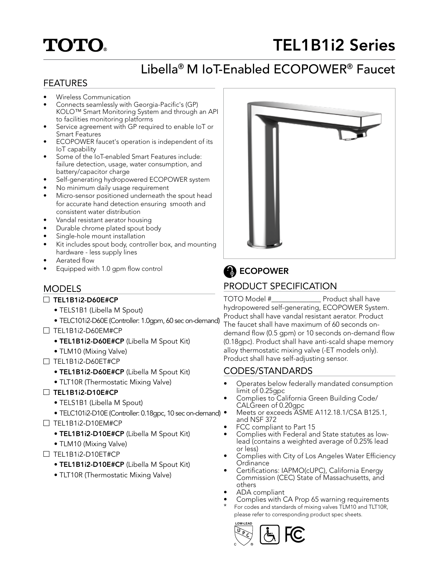# **TOTO**

# TEL1B1i2 Series

# Libella® M IoT-Enabled ECOPOWER® Faucet

### FEATURES

- Wireless Communication
- Connects seamlessly with Georgia-Pacific's (GP) KOLO™ Smart Monitoring System and through an API to facilities monitoring platforms
- Service agreement with GP required to enable IoT or Smart Features
- ECOPOWER faucet's operation is independent of its IoT capability
- Some of the IoT-enabled Smart Features include: failure detection, usage, water consumption, and battery/capacitor charge
- Self-generating hydropowered ECOPOWER system
- No minimum daily usage requirement
- Micro-sensor positioned underneath the spout head for accurate hand detection ensuring smooth and consistent water distribution
- Vandal resistant aerator housing
- Durable chrome plated spout body
- Single-hole mount installation
- Kit includes spout body, controller box, and mounting hardware - less supply lines
- Aerated flow
- Equipped with 1.0 gpm flow control

## MODELS

### $\Box$  TEL1B1i2-D60E#CP

- TELS1B1 (Libella M Spout)
- TELC101i2-D60E (Controller: 1.0gpm, 60 sec on-demand)
- TEL1B1i2-D60EM#CP
	- TEL1B1i2-D60E#CP (Libella M Spout Kit)
	- TLM10 (Mixing Valve)
- TEL1B1i2-D60ET#CP
	- TEL1B1i2-D60E#CP (Libella M Spout Kit)
	- TLT10R (Thermostatic Mixing Valve)
- $\Box$  TEL1B1i2-D10E#CP
	- TELS1B1 (Libella M Spout)
	- TELC101i2-D10E (Controller: 0.18gpc, 10 sec on-demand) •
- TEL1B1i2-D10EM#CP
	- TEL1B1i2-D10E#CP (Libella M Spout Kit)
	- TLM10 (Mixing Valve)
- TEL1B1i2-D10ET#CP
	- TEL1B1i2-D10E#CP (Libella M Spout Kit)
	- TLT10R (Thermostatic Mixing Valve)



# **B** ECOPOWER

## PRODUCT SPECIFICATION

TOTO Model #\_\_\_\_\_\_\_\_\_\_\_\_\_\_ Product shall have hydropowered self-generating, ECOPOWER System. Product shall have vandal resistant aerator. Product The faucet shall have maximum of 60 seconds ondemand flow (0.5 gpm) or 10 seconds on-demand flow (0.18gpc). Product shall have anti-scald shape memory alloy thermostatic mixing valve (-ET models only). Product shall have self-adjusting sensor.

## CODES/STANDARDS

- Operates below federally mandated consumption limit of 0.25gpc
- Complies to California Green Building Code/ CALGreen of 0.20gpc
- Meets or exceeds ASME A112.18.1/CSA B125.1, and NSF 372
- FCC compliant to Part 15
- Complies with Federal and State statutes as lowlead (contains a weighted average of 0.25% lead or less)
- Complies with City of Los Angeles Water Efficiency **Ordinance**
- Certifications: IAPMO(cUPC), California Energy Commission (CEC) State of Massachusetts, and others
- ADA compliant
- Complies with CA Prop 65 warning requirements For codes and standards of mixing valves TLM10 and TLT10R, please refer to corresponding product spec sheets.